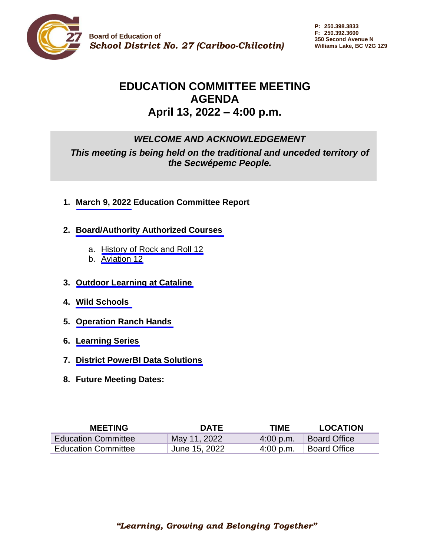

# **EDUCATION COMMITTEE MEETING AGENDA April 13, 2022 – 4:00 p.m.**

# *WELCOME AND ACKNOWLEDGEMENT*

*This meeting is being held on the traditional and unceded territory of the Secwépemc People.*

- **1. March [9, 2022](#page-1-0) Education Committee Report**
- **2. [Board/Authority Authorized Courses](#page-4-0)**
	- a. [History of Rock and Roll 12](#page-6-0)
	- b. [Aviation 12](#page-12-0)
- **3. Outdoor [Learning at Cataline](#page-27-0)**
- **4. [Wild Schools](#page-28-0)**
- **5. [Operation Ranch Hands](#page-29-0)**
- **6. [Learning Series](#page-30-0)**
- **7. [District PowerBI Data Solutions](#page-31-0)**
- **8. Future Meeting Dates:**

| <b>MEETING</b>             | <b>DATE</b>   | <b>TIME</b> | <b>LOCATION</b>     |
|----------------------------|---------------|-------------|---------------------|
| <b>Education Committee</b> | May 11, 2022  | 4:00 p.m.   | <b>Board Office</b> |
| <b>Education Committee</b> | June 15, 2022 | 4:00 p.m.   | <b>Board Office</b> |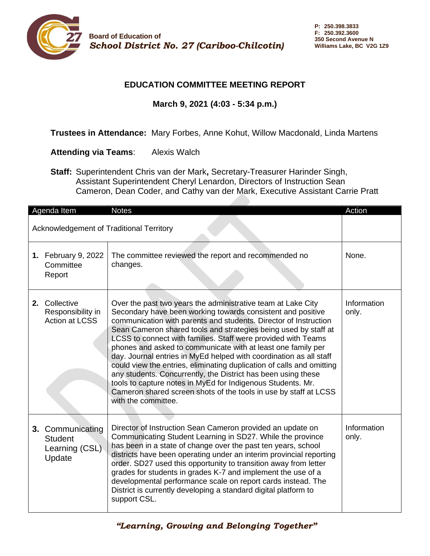<span id="page-1-0"></span>

## **EDUCATION COMMITTEE MEETING REPORT**

# **March 9, 2021 (4:03 - 5:34 p.m.)**

### **Trustees in Attendance:** Mary Forbes, Anne Kohut, Willow Macdonald, Linda Martens

### **Attending via Teams**: Alexis Walch

**Staff:** Superintendent Chris van der Mark**,** Secretary-Treasurer Harinder Singh, Assistant Superintendent Cheryl Lenardon, Directors of Instruction Sean Cameron, Dean Coder, and Cathy van der Mark, Executive Assistant Carrie Pratt

|                                          | Agenda Item                                                    | <b>Notes</b>                                                                                                                                                                                                                                                                                                                                                                                                                                                                                                                                                                                                                                                                                                                                                                  | Action               |
|------------------------------------------|----------------------------------------------------------------|-------------------------------------------------------------------------------------------------------------------------------------------------------------------------------------------------------------------------------------------------------------------------------------------------------------------------------------------------------------------------------------------------------------------------------------------------------------------------------------------------------------------------------------------------------------------------------------------------------------------------------------------------------------------------------------------------------------------------------------------------------------------------------|----------------------|
| Acknowledgement of Traditional Territory |                                                                |                                                                                                                                                                                                                                                                                                                                                                                                                                                                                                                                                                                                                                                                                                                                                                               |                      |
|                                          | 1. February 9, 2022<br>Committee<br>Report                     | The committee reviewed the report and recommended no<br>changes.                                                                                                                                                                                                                                                                                                                                                                                                                                                                                                                                                                                                                                                                                                              | None.                |
|                                          | 2. Collective<br>Responsibility in<br><b>Action at LCSS</b>    | Over the past two years the administrative team at Lake City<br>Secondary have been working towards consistent and positive<br>communication with parents and students. Director of Instruction<br>Sean Cameron shared tools and strategies being used by staff at<br>LCSS to connect with families. Staff were provided with Teams<br>phones and asked to communicate with at least one family per<br>day. Journal entries in MyEd helped with coordination as all staff<br>could view the entries, eliminating duplication of calls and omitting<br>any students. Concurrently, the District has been using these<br>tools to capture notes in MyEd for Indigenous Students. Mr.<br>Cameron shared screen shots of the tools in use by staff at LCSS<br>with the committee. | Information<br>only. |
|                                          | 3. Communicating<br><b>Student</b><br>Learning (CSL)<br>Update | Director of Instruction Sean Cameron provided an update on<br>Communicating Student Learning in SD27. While the province<br>has been in a state of change over the past ten years, school<br>districts have been operating under an interim provincial reporting<br>order. SD27 used this opportunity to transition away from letter<br>grades for students in grades K-7 and implement the use of a<br>developmental performance scale on report cards instead. The<br>District is currently developing a standard digital platform to<br>support CSL.                                                                                                                                                                                                                       | Information<br>only. |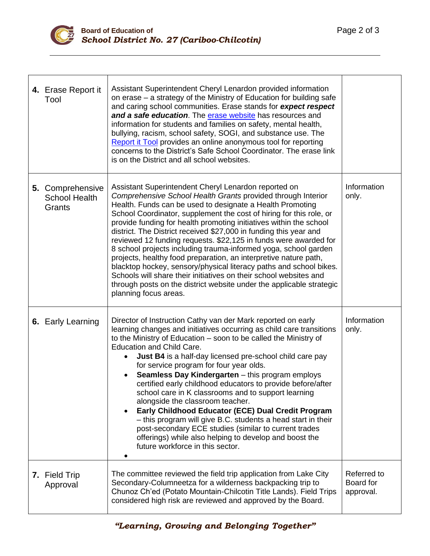

 $\mathbf{I}$ 

| 4. Erase Report it<br>Tool                         | Assistant Superintendent Cheryl Lenardon provided information<br>on erase – a strategy of the Ministry of Education for building safe<br>and caring school communities. Erase stands for expect respect<br>and a safe education. The erase website has resources and<br>information for students and families on safety, mental health,<br>bullying, racism, school safety, SOGI, and substance use. The<br>Report it Tool provides an online anonymous tool for reporting<br>concerns to the District's Safe School Coordinator. The erase link<br>is on the District and all school websites.                                                                                                                                                                                                                                                            |                                       |
|----------------------------------------------------|------------------------------------------------------------------------------------------------------------------------------------------------------------------------------------------------------------------------------------------------------------------------------------------------------------------------------------------------------------------------------------------------------------------------------------------------------------------------------------------------------------------------------------------------------------------------------------------------------------------------------------------------------------------------------------------------------------------------------------------------------------------------------------------------------------------------------------------------------------|---------------------------------------|
| 5. Comprehensive<br><b>School Health</b><br>Grants | Assistant Superintendent Cheryl Lenardon reported on<br>Comprehensive School Health Grants provided through Interior<br>Health. Funds can be used to designate a Health Promoting<br>School Coordinator, supplement the cost of hiring for this role, or<br>provide funding for health promoting initiatives within the school<br>district. The District received \$27,000 in funding this year and<br>reviewed 12 funding requests. \$22,125 in funds were awarded for<br>8 school projects including trauma-informed yoga, school garden<br>projects, healthy food preparation, an interpretive nature path,<br>blacktop hockey, sensory/physical literacy paths and school bikes.<br>Schools will share their initiatives on their school websites and<br>through posts on the district website under the applicable strategic<br>planning focus areas. | Information<br>only.                  |
| 6. Early Learning                                  | Director of Instruction Cathy van der Mark reported on early<br>learning changes and initiatives occurring as child care transitions<br>to the Ministry of Education – soon to be called the Ministry of<br><b>Education and Child Care.</b><br><b>Just B4</b> is a half-day licensed pre-school child care pay<br>for service program for four year olds.<br>Seamless Day Kindergarten - this program employs<br>certified early childhood educators to provide before/after<br>school care in K classrooms and to support learning<br>alongside the classroom teacher.<br>Early Childhood Educator (ECE) Dual Credit Program<br>- this program will give B.C. students a head start in their<br>post-secondary ECE studies (similar to current trades<br>offerings) while also helping to develop and boost the<br>future workforce in this sector.      | Information<br>only.                  |
| 7. Field Trip<br>Approval                          | The committee reviewed the field trip application from Lake City<br>Secondary-Columneetza for a wilderness backpacking trip to<br>Chunoz Ch'ed (Potato Mountain-Chilcotin Title Lands). Field Trips<br>considered high risk are reviewed and approved by the Board.                                                                                                                                                                                                                                                                                                                                                                                                                                                                                                                                                                                        | Referred to<br>Board for<br>approval. |

Τ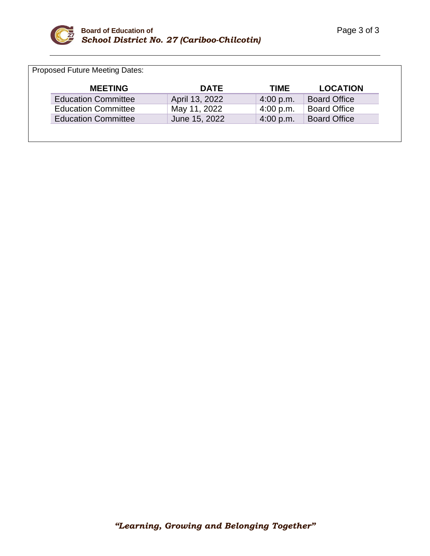

Proposed Future Meeting Dates:

| <b>MEETING</b>             | <b>DATE</b>    | TIME            | <b>LOCATION</b>     |
|----------------------------|----------------|-----------------|---------------------|
| <b>Education Committee</b> | April 13, 2022 | 4:00 p.m.       | <b>Board Office</b> |
| <b>Education Committee</b> | May 11, 2022   | $\pm 4:00$ p.m. | <b>Board Office</b> |
| <b>Education Committee</b> | June 15, 2022  | 4:00 p.m.       | <b>Board Office</b> |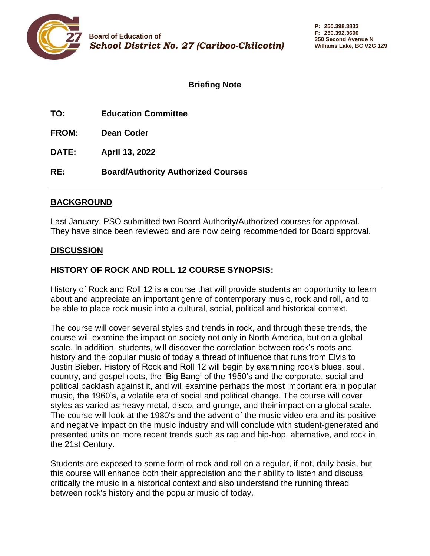<span id="page-4-0"></span>

**TO: Education Committee**

**FROM: Dean Coder**

**DATE: April 13, 2022**

**RE: Board/Authority Authorized Courses**

### **BACKGROUND**

Last January, PSO submitted two Board Authority/Authorized courses for approval. They have since been reviewed and are now being recommended for Board approval.

# **DISCUSSION**

# **HISTORY OF ROCK AND ROLL 12 COURSE SYNOPSIS:**

History of Rock and Roll 12 is a course that will provide students an opportunity to learn about and appreciate an important genre of contemporary music, rock and roll, and to be able to place rock music into a cultural, social, political and historical context.

The course will cover several styles and trends in rock, and through these trends, the course will examine the impact on society not only in North America, but on a global scale. In addition, students, will discover the correlation between rock's roots and history and the popular music of today a thread of influence that runs from Elvis to Justin Bieber. History of Rock and Roll 12 will begin by examining rock's blues, soul, country, and gospel roots, the 'Big Bang' of the 1950's and the corporate, social and political backlash against it, and will examine perhaps the most important era in popular music, the 1960's, a volatile era of social and political change. The course will cover styles as varied as heavy metal, disco, and grunge, and their impact on a global scale. The course will look at the 1980's and the advent of the music video era and its positive and negative impact on the music industry and will conclude with student-generated and presented units on more recent trends such as rap and hip-hop, alternative, and rock in the 21st Century.

Students are exposed to some form of rock and roll on a regular, if not, daily basis, but this course will enhance both their appreciation and their ability to listen and discuss critically the music in a historical context and also understand the running thread between rock's history and the popular music of today.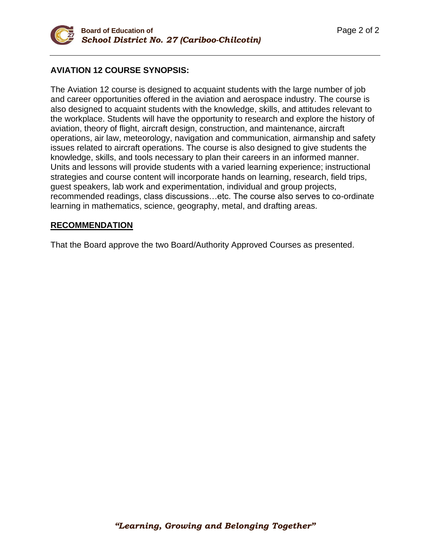

### **AVIATION 12 COURSE SYNOPSIS:**

The Aviation 12 course is designed to acquaint students with the large number of job and career opportunities offered in the aviation and aerospace industry. The course is also designed to acquaint students with the knowledge, skills, and attitudes relevant to the workplace. Students will have the opportunity to research and explore the history of aviation, theory of flight, aircraft design, construction, and maintenance, aircraft operations, air law, meteorology, navigation and communication, airmanship and safety issues related to aircraft operations. The course is also designed to give students the knowledge, skills, and tools necessary to plan their careers in an informed manner. Units and lessons will provide students with a varied learning experience; instructional strategies and course content will incorporate hands on learning, research, field trips, guest speakers, lab work and experimentation, individual and group projects, recommended readings, class discussions…etc. The course also serves to co-ordinate learning in mathematics, science, geography, metal, and drafting areas.

#### **RECOMMENDATION**

That the Board approve the two Board/Authority Approved Courses as presented.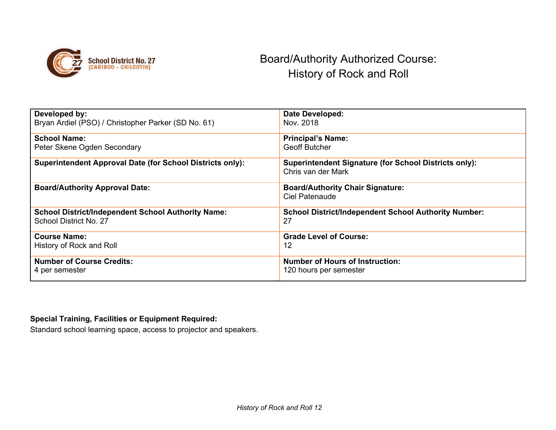<span id="page-6-0"></span>

# Board/Authority Authorized Course: History of Rock and Roll

| Developed by:                                                    | <b>Date Developed:</b>                                       |
|------------------------------------------------------------------|--------------------------------------------------------------|
| Bryan Ardiel (PSO) / Christopher Parker (SD No. 61)              | Nov. 2018                                                    |
|                                                                  |                                                              |
| <b>School Name:</b>                                              | <b>Principal's Name:</b>                                     |
| Peter Skene Ogden Secondary                                      | <b>Geoff Butcher</b>                                         |
|                                                                  |                                                              |
| <b>Superintendent Approval Date (for School Districts only):</b> | <b>Superintendent Signature (for School Districts only):</b> |
|                                                                  | Chris van der Mark                                           |
|                                                                  |                                                              |
| <b>Board/Authority Approval Date:</b>                            | <b>Board/Authority Chair Signature:</b>                      |
|                                                                  | <b>Ciel Patenaude</b>                                        |
|                                                                  |                                                              |
| <b>School District/Independent School Authority Name:</b>        | <b>School District/Independent School Authority Number:</b>  |
| School District No. 27                                           | 27                                                           |
|                                                                  |                                                              |
| <b>Course Name:</b>                                              | <b>Grade Level of Course:</b>                                |
| History of Rock and Roll                                         | 12                                                           |
|                                                                  |                                                              |
| <b>Number of Course Credits:</b>                                 | <b>Number of Hours of Instruction:</b>                       |
| 4 per semester                                                   | 120 hours per semester                                       |
|                                                                  |                                                              |

## **Special Training, Facilities or Equipment Required:**

Standard school learning space, access to projector and speakers.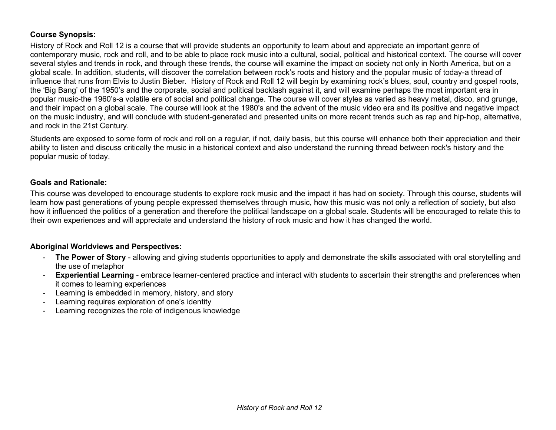#### **Course Synopsis:**

History of Rock and Roll 12 is a course that will provide students an opportunity to learn about and appreciate an important genre of contemporary music, rock and roll, and to be able to place rock music into a cultural, social, political and historical context. The course will cover several styles and trends in rock, and through these trends, the course will examine the impact on society not only in North America, but on a global scale. In addition, students, will discover the correlation between rock's roots and history and the popular music of today-a thread of influence that runs from Elvis to Justin Bieber. History of Rock and Roll 12 will begin by examining rock's blues, soul, country and gospel roots, the 'Big Bang' of the 1950's and the corporate, social and political backlash against it, and will examine perhaps the most important era in popular music-the 1960's-a volatile era of social and political change. The course will cover styles as varied as heavy metal, disco, and grunge, and their impact on a global scale. The course will look at the 1980's and the advent of the music video era and its positive and negative impact on the music industry, and will conclude with student-generated and presented units on more recent trends such as rap and hip-hop, alternative, and rock in the 21st Century.

Students are exposed to some form of rock and roll on a regular, if not, daily basis, but this course will enhance both their appreciation and their ability to listen and discuss critically the music in a historical context and also understand the running thread between rock's history and the popular music of today.

#### **Goals and Rationale:**

This course was developed to encourage students to explore rock music and the impact it has had on society. Through this course, students will learn how past generations of young people expressed themselves through music, how this music was not only a reflection of society, but also how it influenced the politics of a generation and therefore the political landscape on a global scale. Students will be encouraged to relate this to their own experiences and will appreciate and understand the history of rock music and how it has changed the world.

#### **Aboriginal Worldviews and Perspectives:**

- **The Power of Story** allowing and giving students opportunities to apply and demonstrate the skills associated with oral storytelling and the use of metaphor
- **Experiential Learning** embrace learner-centered practice and interact with students to ascertain their strengths and preferences when it comes to learning experiences
- Learning is embedded in memory, history, and story
- Learning requires exploration of one's identity
- Learning recognizes the role of indigenous knowledge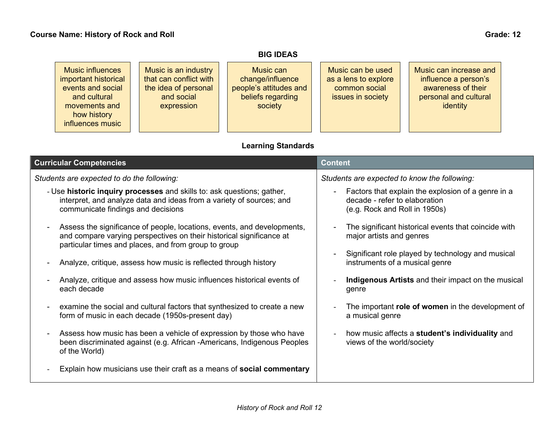# **BIG IDEAS**

# **Learning Standards**

| <b>Curricular Competencies</b>                                                                                                                                                                                            | <b>Content</b>                                                                                                       |
|---------------------------------------------------------------------------------------------------------------------------------------------------------------------------------------------------------------------------|----------------------------------------------------------------------------------------------------------------------|
| Students are expected to do the following:                                                                                                                                                                                | Students are expected to know the following:                                                                         |
| - Use <b>historic inquiry processes</b> and skills to: ask questions; gather,<br>interpret, and analyze data and ideas from a variety of sources; and<br>communicate findings and decisions                               | Factors that explain the explosion of a genre in a<br>decade - refer to elaboration<br>(e.g. Rock and Roll in 1950s) |
| Assess the significance of people, locations, events, and developments,<br>$\overline{a}$<br>and compare varying perspectives on their historical significance at<br>particular times and places, and from group to group | The significant historical events that coincide with<br>major artists and genres                                     |
| Analyze, critique, assess how music is reflected through history                                                                                                                                                          | Significant role played by technology and musical<br>instruments of a musical genre                                  |
| Analyze, critique and assess how music influences historical events of<br>each decade                                                                                                                                     | <b>Indigenous Artists</b> and their impact on the musical<br>genre                                                   |
| examine the social and cultural factors that synthesized to create a new<br>$\overline{a}$<br>form of music in each decade (1950s-present day)                                                                            | The important role of women in the development of<br>a musical genre                                                 |
| Assess how music has been a vehicle of expression by those who have<br>$\blacksquare$<br>been discriminated against (e.g. African -Americans, Indigenous Peoples<br>of the World)                                         | how music affects a <b>student's individuality</b> and<br>views of the world/society                                 |
| Explain how musicians use their craft as a means of <b>social commentary</b>                                                                                                                                              |                                                                                                                      |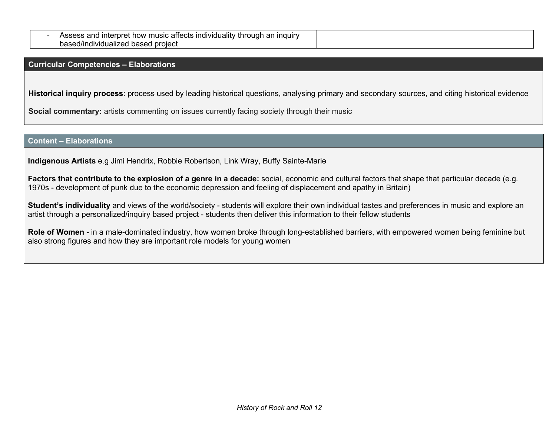| dividuality<br>nauir<br>usic<br>now<br>ar<br>mı<br>anects<br>inrouar<br>roret<br>ıno<br>TILE |  |
|----------------------------------------------------------------------------------------------|--|
| project<br>based/individualized<br>pased                                                     |  |

**Curricular Competencies – Elaborations**

**Historical inquiry process**: process used by leading historical questions, analysing primary and secondary sources, and citing historical evidence

**Social commentary:** artists commenting on issues currently facing society through their music

#### **Content – Elaborations**

**Indigenous Artists** e.g Jimi Hendrix, Robbie Robertson, Link Wray, Buffy Sainte-Marie

**Factors that contribute to the explosion of a genre in a decade:** social, economic and cultural factors that shape that particular decade (e.g. 1970s - development of punk due to the economic depression and feeling of displacement and apathy in Britain)

**Student's individuality** and views of the world/society - students will explore their own individual tastes and preferences in music and explore an artist through a personalized/inquiry based project - students then deliver this information to their fellow students

**Role of Women -** in a male-dominated industry, how women broke through long-established barriers, with empowered women being feminine but also strong figures and how they are important role models for young women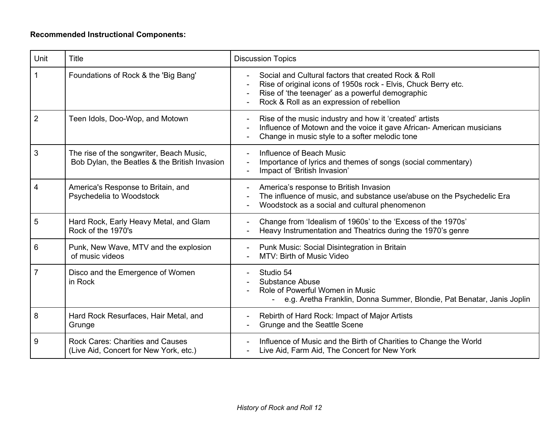# **Recommended Instructional Components:**

| Unit           | <b>Title</b>                                                                              | <b>Discussion Topics</b>                                                                                                                                                                                                |
|----------------|-------------------------------------------------------------------------------------------|-------------------------------------------------------------------------------------------------------------------------------------------------------------------------------------------------------------------------|
|                | Foundations of Rock & the 'Big Bang'                                                      | Social and Cultural factors that created Rock & Roll<br>Rise of original icons of 1950s rock - Elvis, Chuck Berry etc.<br>Rise of 'the teenager' as a powerful demographic<br>Rock & Roll as an expression of rebellion |
| $\overline{2}$ | Teen Idols, Doo-Wop, and Motown                                                           | Rise of the music industry and how it 'created' artists<br>Influence of Motown and the voice it gave African- American musicians<br>Change in music style to a softer melodic tone                                      |
| 3              | The rise of the songwriter, Beach Music,<br>Bob Dylan, the Beatles & the British Invasion | Influence of Beach Music<br>Importance of lyrics and themes of songs (social commentary)<br>Impact of 'British Invasion'                                                                                                |
| 4              | America's Response to Britain, and<br>Psychedelia to Woodstock                            | America's response to British Invasion<br>The influence of music, and substance use/abuse on the Psychedelic Era<br>Woodstock as a social and cultural phenomenon                                                       |
| 5              | Hard Rock, Early Heavy Metal, and Glam<br>Rock of the 1970's                              | Change from 'Idealism of 1960s' to the 'Excess of the 1970s'<br>Heavy Instrumentation and Theatrics during the 1970's genre                                                                                             |
| 6              | Punk, New Wave, MTV and the explosion<br>of music videos                                  | Punk Music: Social Disintegration in Britain<br>MTV: Birth of Music Video                                                                                                                                               |
| $\overline{7}$ | Disco and the Emergence of Women<br>in Rock                                               | Studio 54<br><b>Substance Abuse</b><br>Role of Powerful Women in Music<br>- e.g. Aretha Franklin, Donna Summer, Blondie, Pat Benatar, Janis Joplin                                                                      |
| 8              | Hard Rock Resurfaces, Hair Metal, and<br>Grunge                                           | Rebirth of Hard Rock: Impact of Major Artists<br>Grunge and the Seattle Scene                                                                                                                                           |
| 9              | <b>Rock Cares: Charities and Causes</b><br>(Live Aid, Concert for New York, etc.)         | Influence of Music and the Birth of Charities to Change the World<br>Live Aid, Farm Aid, The Concert for New York                                                                                                       |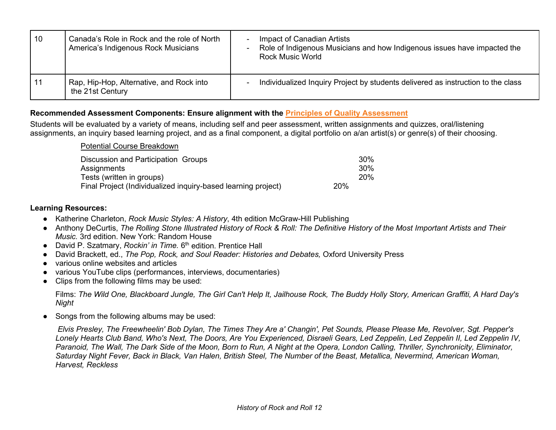| 10  | Canada's Role in Rock and the role of North<br>America's Indigenous Rock Musicians | Impact of Canadian Artists<br>Role of Indigenous Musicians and how Indigenous issues have impacted the<br><b>Rock Music World</b> |
|-----|------------------------------------------------------------------------------------|-----------------------------------------------------------------------------------------------------------------------------------|
| -11 | Rap, Hip-Hop, Alternative, and Rock into<br>the 21st Century                       | Individualized Inquiry Project by students delivered as instruction to the class                                                  |

#### **Recommended Assessment Components: Ensure alignment with the [Principles of Quality Assessment](https://curriculum.gov.bc.ca/assessment-info)**

Students will be evaluated by a variety of means, including self and peer assessment, written assignments and quizzes, oral/listening assignments, an inquiry based learning project, and as a final component, a digital portfolio on a/an artist(s) or genre(s) of their choosing.

| <b>Potential Course Breakdown</b>                             |     |     |
|---------------------------------------------------------------|-----|-----|
| Discussion and Participation Groups                           |     | 30% |
| Assignments                                                   |     | 30% |
| Tests (written in groups)                                     |     | 20% |
| Final Project (Individualized inquiry-based learning project) | 20% |     |

#### **Learning Resources:**

- Katherine Charleton, *Rock Music Styles: A History*, 4th edition McGraw-Hill Publishing
- Anthony DeCurtis, *The Rolling Stone Illustrated History of Rock & Roll: The Definitive History of the Most Important Artists and Their Music.* 3rd edition. New York: Random House
- David P. Szatmary, *Rockin' in Time.* 6<sup>th</sup> edition. Prentice Hall
- David Brackett, ed., *The Pop, Rock, and Soul Reader: Histories and Debates,* Oxford University Press
- various online websites and articles
- various YouTube clips (performances, interviews, documentaries)
- Clips from the following films may be used:

Films: *The Wild One, Blackboard Jungle, The Girl Can't Help It, Jailhouse Rock, The Buddy Holly Story, American Graffiti, A Hard Day's Night*

● Songs from the following albums may be used:

*Elvis Presley, The Freewheelin' Bob Dylan, The Times They Are a' Changin', Pet Sounds, Please Please Me, Revolver, Sgt. Pepper's Lonely Hearts Club Band, Who's Next, The Doors, Are You Experienced, Disraeli Gears, Led Zeppelin, Led Zeppelin II, Led Zeppelin IV, Paranoid, The Wall, The Dark Side of the Moon, Born to Run, A Night at the Opera, London Calling, Thriller, Synchronicity, Eliminator, Saturday Night Fever, Back in Black, Van Halen, British Steel, The Number of the Beast, Metallica, Nevermind, American Woman, Harvest, Reckless*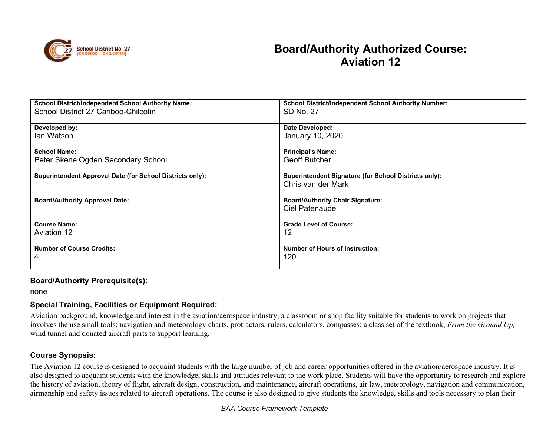<span id="page-12-0"></span>

| <b>School District/Independent School Authority Name:</b>        | <b>School District/Independent School Authority Number:</b>  |
|------------------------------------------------------------------|--------------------------------------------------------------|
| School District 27 Cariboo-Chilcotin                             | SD No. 27                                                    |
|                                                                  |                                                              |
| Developed by:                                                    | Date Developed:                                              |
| lan Watson                                                       | January 10, 2020                                             |
|                                                                  |                                                              |
| <b>School Name:</b>                                              | <b>Principal's Name:</b>                                     |
| Peter Skene Ogden Secondary School                               | <b>Geoff Butcher</b>                                         |
|                                                                  |                                                              |
| <b>Superintendent Approval Date (for School Districts only):</b> | <b>Superintendent Signature (for School Districts only):</b> |
|                                                                  | Chris van der Mark                                           |
|                                                                  |                                                              |
| <b>Board/Authority Approval Date:</b>                            | <b>Board/Authority Chair Signature:</b>                      |
|                                                                  | Ciel Patenaude                                               |
|                                                                  |                                                              |
| <b>Course Name:</b>                                              | <b>Grade Level of Course:</b>                                |
| <b>Aviation 12</b>                                               | 12                                                           |
|                                                                  |                                                              |
| <b>Number of Course Credits:</b>                                 | <b>Number of Hours of Instruction:</b>                       |
| 4                                                                | 120                                                          |
|                                                                  |                                                              |
|                                                                  |                                                              |

#### **Board/Authority Prerequisite(s):**

none

### **Special Training, Facilities or Equipment Required:**

Aviation background, knowledge and interest in the aviation/aerospace industry; a classroom or shop facility suitable for students to work on projects that involves the use small tools; navigation and meteorology charts, protractors, rulers, calculators, compasses; a class set of the textbook, *From the Ground Up,*  wind tunnel and donated aircraft parts to support learning.

### **Course Synopsis:**

The Aviation 12 course is designed to acquaint students with the large number of job and career opportunities offered in the aviation/aerospace industry. It is also designed to acquaint students with the knowledge, skills and attitudes relevant to the work place. Students will have the opportunity to research and explore the history of aviation, theory of flight, aircraft design, construction, and maintenance, aircraft operations, air law, meteorology, navigation and communication, airmanship and safety issues related to aircraft operations. The course is also designed to give students the knowledge, skills and tools necessary to plan their

#### *BAA Course Framework Template*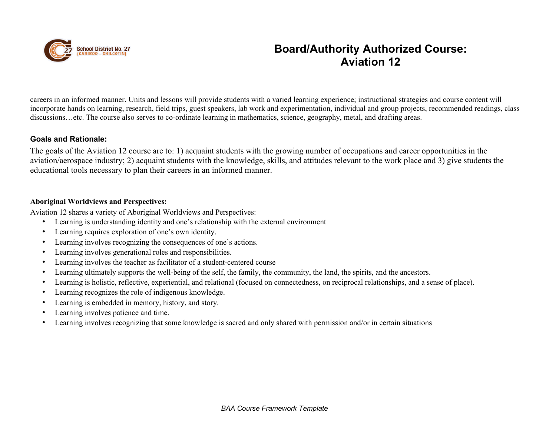

careers in an informed manner. Units and lessons will provide students with a varied learning experience; instructional strategies and course content will incorporate hands on learning, research, field trips, guest speakers, lab work and experimentation, individual and group projects, recommended readings, class discussions…etc. The course also serves to co-ordinate learning in mathematics, science, geography, metal, and drafting areas.

#### **Goals and Rationale:**

The goals of the Aviation 12 course are to: 1) acquaint students with the growing number of occupations and career opportunities in the aviation/aerospace industry; 2) acquaint students with the knowledge, skills, and attitudes relevant to the work place and 3) give students the educational tools necessary to plan their careers in an informed manner.

#### **Aboriginal Worldviews and Perspectives:**

Aviation 12 shares a variety of Aboriginal Worldviews and Perspectives:

- Learning is understanding identity and one's relationship with the external environment
- Learning requires exploration of one's own identity.
- Learning involves recognizing the consequences of one's actions.
- Learning involves generational roles and responsibilities.
- Learning involves the teacher as facilitator of a student-centered course
- Learning ultimately supports the well-being of the self, the family, the community, the land, the spirits, and the ancestors.
- Learning is holistic, reflective, experiential, and relational (focused on connectedness, on reciprocal relationships, and a sense of place).
- Learning recognizes the role of indigenous knowledge.
- Learning is embedded in memory, history, and story.
- Learning involves patience and time.
- Learning involves recognizing that some knowledge is sacred and only shared with permission and/or in certain situations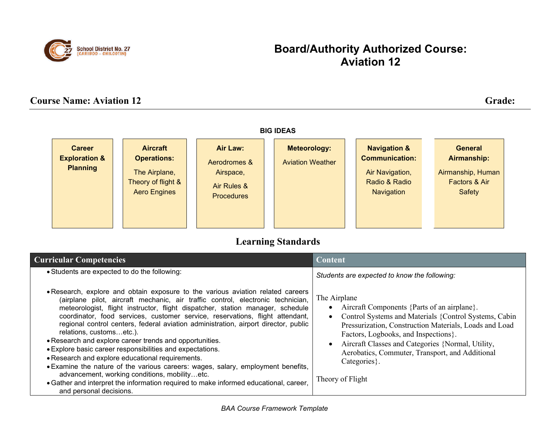

# **Course Name: Aviation 12** Grade:



# **Learning Standards**

| <b>Curricular Competencies</b>                                                                                                                                                                                                                                                                                                                                                                                                                                                                                                                                                                                                                                                                                                                                                                                                                                                                | Content                                                                                                                                                                                                                                                                                                                                                                                      |
|-----------------------------------------------------------------------------------------------------------------------------------------------------------------------------------------------------------------------------------------------------------------------------------------------------------------------------------------------------------------------------------------------------------------------------------------------------------------------------------------------------------------------------------------------------------------------------------------------------------------------------------------------------------------------------------------------------------------------------------------------------------------------------------------------------------------------------------------------------------------------------------------------|----------------------------------------------------------------------------------------------------------------------------------------------------------------------------------------------------------------------------------------------------------------------------------------------------------------------------------------------------------------------------------------------|
| • Students are expected to do the following:                                                                                                                                                                                                                                                                                                                                                                                                                                                                                                                                                                                                                                                                                                                                                                                                                                                  | Students are expected to know the following:                                                                                                                                                                                                                                                                                                                                                 |
| . Research, explore and obtain exposure to the various aviation related careers<br>(airplane pilot, aircraft mechanic, air traffic control, electronic technician,<br>meteorologist, flight instructor, flight dispatcher, station manager, schedule<br>coordinator, food services, customer service, reservations, flight attendant,<br>regional control centers, federal aviation administration, airport director, public<br>relations, customsetc.).<br>• Research and explore career trends and opportunities.<br>• Explore basic career responsibilities and expectations.<br>. Research and explore educational requirements.<br>• Examine the nature of the various careers: wages, salary, employment benefits,<br>advancement, working conditions, mobilityetc.<br>• Gather and interpret the information required to make informed educational, career,<br>and personal decisions. | The Airplane<br>Aircraft Components {Parts of an airplane}.<br>$\bullet$<br>Control Systems and Materials {Control Systems, Cabin<br>$\bullet$<br>Pressurization, Construction Materials, Loads and Load<br>Factors, Logbooks, and Inspections.<br>Aircraft Classes and Categories {Normal, Utility,<br>Aerobatics, Commuter, Transport, and Additional<br>Categories }.<br>Theory of Flight |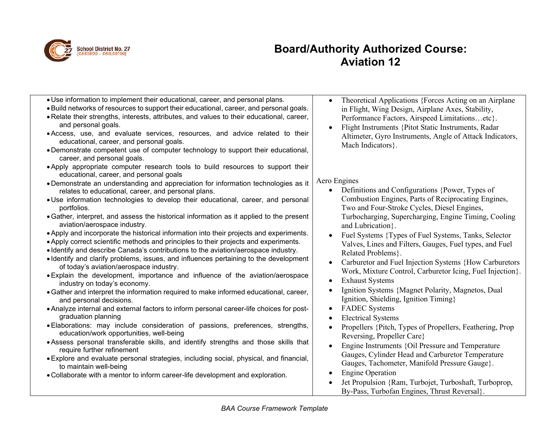

By-Pass, Turbofan Engines, Thrust Reversal}.

| . Use information to implement their educational, career, and personal plans.<br>. Build networks of resources to support their educational, career, and personal goals.<br>. Relate their strengths, interests, attributes, and values to their educational, career,<br>and personal goals.<br>. Access, use, and evaluate services, resources, and advice related to their<br>educational, career, and personal goals.<br>• Demonstrate competent use of computer technology to support their educational,<br>career, and personal goals.<br>. Apply appropriate computer research tools to build resources to support their                                                                                                                                                                                                                                                                                                                                                                                                                                                                                                                                                                                                                                             | Theoretical Applications {Forces Acting on an Airplane<br>in Flight, Wing Design, Airplane Axes, Stability,<br>Performance Factors, Airspeed Limitationsetc}.<br>Flight Instruments {Pitot Static Instruments, Radar<br>Altimeter, Gyro Instruments, Angle of Attack Indicators,<br>Mach Indicators }.                                                                                                                                                                                                                                                                                                                                                                                                                                  |
|----------------------------------------------------------------------------------------------------------------------------------------------------------------------------------------------------------------------------------------------------------------------------------------------------------------------------------------------------------------------------------------------------------------------------------------------------------------------------------------------------------------------------------------------------------------------------------------------------------------------------------------------------------------------------------------------------------------------------------------------------------------------------------------------------------------------------------------------------------------------------------------------------------------------------------------------------------------------------------------------------------------------------------------------------------------------------------------------------------------------------------------------------------------------------------------------------------------------------------------------------------------------------|-----------------------------------------------------------------------------------------------------------------------------------------------------------------------------------------------------------------------------------------------------------------------------------------------------------------------------------------------------------------------------------------------------------------------------------------------------------------------------------------------------------------------------------------------------------------------------------------------------------------------------------------------------------------------------------------------------------------------------------------|
| educational, career, and personal goals<br>• Demonstrate an understanding and appreciation for information technologies as it<br>relates to educational, career, and personal plans.<br>• Use information technologies to develop their educational, career, and personal<br>portfolios.<br>• Gather, interpret, and assess the historical information as it applied to the present<br>aviation/aerospace industry.<br>. Apply and incorporate the historical information into their projects and experiments.<br>• Apply correct scientific methods and principles to their projects and experiments.<br>. Identify and describe Canada's contributions to the aviation/aerospace industry.<br>• Identify and clarify problems, issues, and influences pertaining to the development<br>of today's aviation/aerospace industry.<br>• Explain the development, importance and influence of the aviation/aerospace<br>industry on today's economy.<br>. Gather and interpret the information required to make informed educational, career,<br>and personal decisions.<br>• Analyze internal and external factors to inform personal career-life choices for post-<br>graduation planning<br>. Elaborations: may include consideration of passions, preferences, strengths, | Aero Engines<br>Definitions and Configurations {Power, Types of<br>Combustion Engines, Parts of Reciprocating Engines,<br>Two and Four-Stroke Cycles, Diesel Engines,<br>Turbocharging, Supercharging, Engine Timing, Cooling<br>and Lubrication }.<br>Fuel Systems {Types of Fuel Systems, Tanks, Selector<br>Valves, Lines and Filters, Gauges, Fuel types, and Fuel<br>Related Problems}.<br>Carburetor and Fuel Injection Systems {How Carburetors<br>$\bullet$<br>Work, Mixture Control, Carburetor Icing, Fuel Injection}.<br><b>Exhaust Systems</b><br>$\bullet$<br>Ignition Systems {Magnet Polarity, Magnetos, Dual<br>Ignition, Shielding, Ignition Timing}<br><b>FADEC</b> Systems<br>$\bullet$<br><b>Electrical Systems</b> |
| education/work opportunities, well-being<br>. Assess personal transferable skills, and identify strengths and those skills that<br>require further refinement<br>• Explore and evaluate personal strategies, including social, physical, and financial,<br>to maintain well-being<br>. Collaborate with a mentor to inform career-life development and exploration.                                                                                                                                                                                                                                                                                                                                                                                                                                                                                                                                                                                                                                                                                                                                                                                                                                                                                                        | Propellers {Pitch, Types of Propellers, Feathering, Prop<br>Reversing, Propeller Care}<br>Engine Instruments {Oil Pressure and Temperature<br>$\bullet$<br>Gauges, Cylinder Head and Carburetor Temperature<br>Gauges, Tachometer, Manifold Pressure Gauge}.<br><b>Engine Operation</b><br>Jet Propulsion {Ram, Turbojet, Turboshaft, Turboprop,                                                                                                                                                                                                                                                                                                                                                                                        |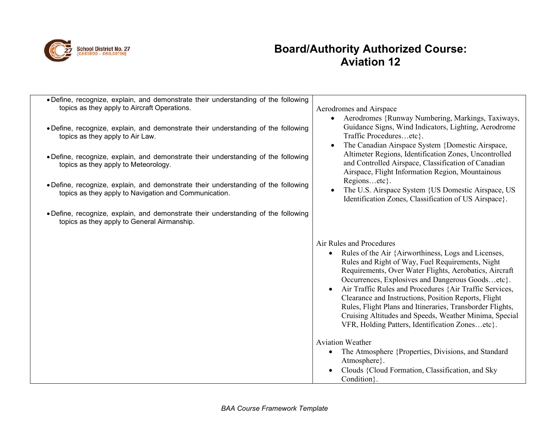

| . Define, recognize, explain, and demonstrate their understanding of the following<br>topics as they apply to Aircraft Operations.          | Aerodromes and Airspace<br>Aerodromes {Runway Numbering, Markings, Taxiways,<br>$\bullet$                                                                                                                                                                                                                                                                                                                                                                                                                                                                   |
|---------------------------------------------------------------------------------------------------------------------------------------------|-------------------------------------------------------------------------------------------------------------------------------------------------------------------------------------------------------------------------------------------------------------------------------------------------------------------------------------------------------------------------------------------------------------------------------------------------------------------------------------------------------------------------------------------------------------|
| • Define, recognize, explain, and demonstrate their understanding of the following<br>topics as they apply to Air Law.                      | Guidance Signs, Wind Indicators, Lighting, Aerodrome<br>Traffic Proceduresetc}.<br>The Canadian Airspace System {Domestic Airspace,                                                                                                                                                                                                                                                                                                                                                                                                                         |
| • Define, recognize, explain, and demonstrate their understanding of the following<br>topics as they apply to Meteorology.                  | Altimeter Regions, Identification Zones, Uncontrolled<br>and Controlled Airspace, Classification of Canadian<br>Airspace, Flight Information Region, Mountainous                                                                                                                                                                                                                                                                                                                                                                                            |
| • Define, recognize, explain, and demonstrate their understanding of the following<br>topics as they apply to Navigation and Communication. | Regionsetc.<br>The U.S. Airspace System {US Domestic Airspace, US<br>Identification Zones, Classification of US Airspace}.                                                                                                                                                                                                                                                                                                                                                                                                                                  |
| • Define, recognize, explain, and demonstrate their understanding of the following<br>topics as they apply to General Airmanship.           |                                                                                                                                                                                                                                                                                                                                                                                                                                                                                                                                                             |
|                                                                                                                                             | Air Rules and Procedures<br>Rules of the Air {Airworthiness, Logs and Licenses,<br>$\bullet$<br>Rules and Right of Way, Fuel Requirements, Night<br>Requirements, Over Water Flights, Aerobatics, Aircraft<br>Occurrences, Explosives and Dangerous Goodsetc}.<br>Air Traffic Rules and Procedures {Air Traffic Services,<br>Clearance and Instructions, Position Reports, Flight<br>Rules, Flight Plans and Itineraries, Transborder Flights,<br>Cruising Altitudes and Speeds, Weather Minima, Special<br>VFR, Holding Patters, Identification Zonesetc}. |
|                                                                                                                                             | <b>Aviation Weather</b><br>The Atmosphere {Properties, Divisions, and Standard<br>$\bullet$<br>Atmosphere }.<br>Clouds {Cloud Formation, Classification, and Sky<br>Condition }.                                                                                                                                                                                                                                                                                                                                                                            |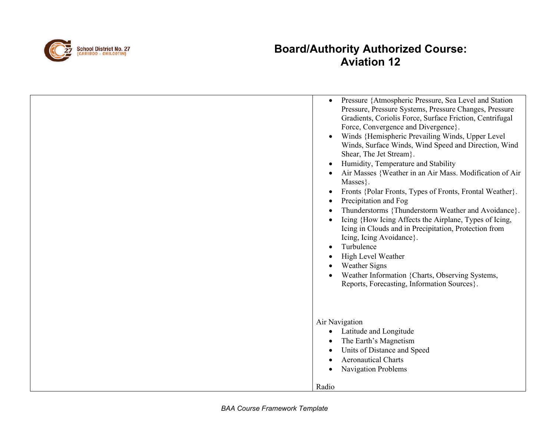

| Pressure {Atmospheric Pressure, Sea Level and Station<br>$\bullet$<br>Pressure, Pressure Systems, Pressure Changes, Pressure<br>Gradients, Coriolis Force, Surface Friction, Centrifugal<br>Force, Convergence and Divergence}.<br>Winds {Hemispheric Prevailing Winds, Upper Level<br>$\bullet$<br>Winds, Surface Winds, Wind Speed and Direction, Wind<br>Shear, The Jet Stream}.<br>Humidity, Temperature and Stability<br>$\bullet$<br>Air Masses {Weather in an Air Mass. Modification of Air<br>Masses }.<br>Fronts {Polar Fronts, Types of Fronts, Frontal Weather}.<br>$\bullet$<br>Precipitation and Fog<br>$\bullet$<br>Thunderstorms {Thunderstorm Weather and Avoidance}.<br>Icing {How Icing Affects the Airplane, Types of Icing,<br>$\bullet$<br>Icing in Clouds and in Precipitation, Protection from<br>Icing, Icing Avoidance}.<br>Turbulence<br>$\bullet$<br>High Level Weather<br><b>Weather Signs</b><br>Weather Information {Charts, Observing Systems,<br>Reports, Forecasting, Information Sources}. |
|------------------------------------------------------------------------------------------------------------------------------------------------------------------------------------------------------------------------------------------------------------------------------------------------------------------------------------------------------------------------------------------------------------------------------------------------------------------------------------------------------------------------------------------------------------------------------------------------------------------------------------------------------------------------------------------------------------------------------------------------------------------------------------------------------------------------------------------------------------------------------------------------------------------------------------------------------------------------------------------------------------------------------|
| Air Navigation<br>Latitude and Longitude<br>$\bullet$<br>The Earth's Magnetism<br>٠<br>Units of Distance and Speed<br>$\bullet$<br><b>Aeronautical Charts</b><br>$\bullet$<br><b>Navigation Problems</b>                                                                                                                                                                                                                                                                                                                                                                                                                                                                                                                                                                                                                                                                                                                                                                                                                     |
| Radio                                                                                                                                                                                                                                                                                                                                                                                                                                                                                                                                                                                                                                                                                                                                                                                                                                                                                                                                                                                                                        |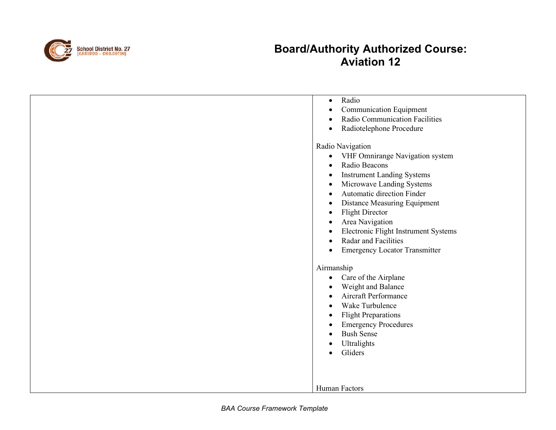

| Radio<br>$\bullet$                                                                                                                                                                                                                                                                                                      |
|-------------------------------------------------------------------------------------------------------------------------------------------------------------------------------------------------------------------------------------------------------------------------------------------------------------------------|
| <b>Communication Equipment</b>                                                                                                                                                                                                                                                                                          |
| Radio Communication Facilities                                                                                                                                                                                                                                                                                          |
| Radiotelephone Procedure<br>$\bullet$                                                                                                                                                                                                                                                                                   |
| Radio Navigation<br>VHF Omnirange Navigation system<br>$\bullet$<br>Radio Beacons<br>$\bullet$<br><b>Instrument Landing Systems</b><br>$\bullet$<br>Microwave Landing Systems<br>$\bullet$<br>Automatic direction Finder<br>$\bullet$<br>Distance Measuring Equipment<br>$\bullet$                                      |
| <b>Flight Director</b><br>$\bullet$<br>Area Navigation<br>Electronic Flight Instrument Systems<br>$\bullet$<br>Radar and Facilities<br>$\bullet$                                                                                                                                                                        |
| <b>Emergency Locator Transmitter</b><br>$\bullet$                                                                                                                                                                                                                                                                       |
| Airmanship<br>Care of the Airplane<br>$\bullet$<br>Weight and Balance<br>$\bullet$<br>Aircraft Performance<br>$\bullet$<br>Wake Turbulence<br>$\bullet$<br><b>Flight Preparations</b><br>$\bullet$<br><b>Emergency Procedures</b><br><b>Bush Sense</b><br>$\bullet$<br>Ultralights<br>$\bullet$<br>Gliders<br>$\bullet$ |
|                                                                                                                                                                                                                                                                                                                         |
| <b>Human Factors</b>                                                                                                                                                                                                                                                                                                    |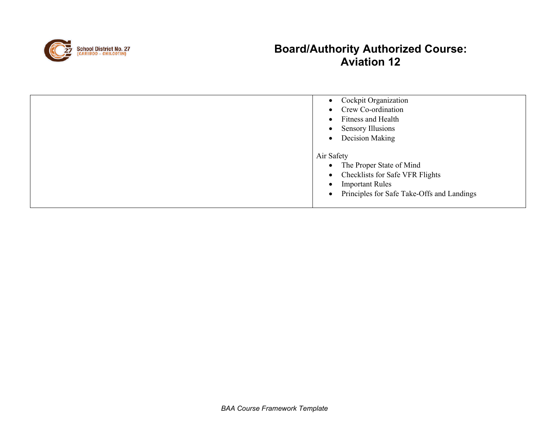

| • Cockpit Organization<br>Crew Co-ordination<br>$\bullet$<br>Fitness and Health<br>$\bullet$ |
|----------------------------------------------------------------------------------------------|
| <b>Sensory Illusions</b><br>$\bullet$                                                        |
| Decision Making<br>$\bullet$                                                                 |
| Air Safety                                                                                   |
| • The Proper State of Mind                                                                   |
| • Checklists for Safe VFR Flights                                                            |
| <b>Important Rules</b><br>$\bullet$                                                          |
| Principles for Safe Take-Offs and Landings<br>$\bullet$                                      |
|                                                                                              |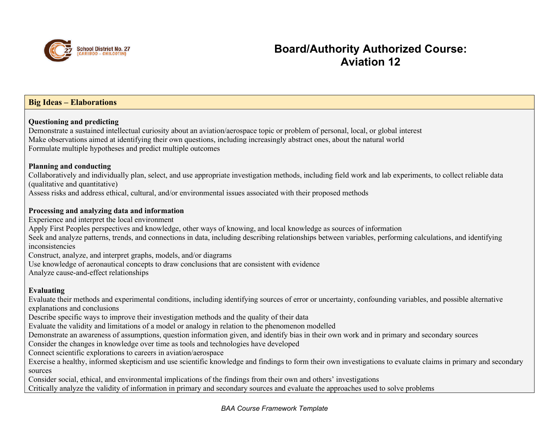

### **Big Ideas – Elaborations**

#### **Questioning and predicting**

Demonstrate a sustained intellectual curiosity about an aviation/aerospace topic or problem of personal, local, or global interest Make observations aimed at identifying their own questions, including increasingly abstract ones, about the natural world Formulate multiple hypotheses and predict multiple outcomes

#### **Planning and conducting**

Collaboratively and individually plan, select, and use appropriate investigation methods, including field work and lab experiments, to collect reliable data (qualitative and quantitative)

Assess risks and address ethical, cultural, and/or environmental issues associated with their proposed methods

#### **Processing and analyzing data and information**

Experience and interpret the local environment

Apply First Peoples perspectives and knowledge, other ways of knowing, and local knowledge as sources of information

Seek and analyze patterns, trends, and connections in data, including describing relationships between variables, performing calculations, and identifying inconsistencies

Construct, analyze, and interpret graphs, models, and/or diagrams

Use knowledge of aeronautical concepts to draw conclusions that are consistent with evidence

Analyze cause-and-effect relationships

#### **Evaluating**

Evaluate their methods and experimental conditions, including identifying sources of error or uncertainty, confounding variables, and possible alternative explanations and conclusions

Describe specific ways to improve their investigation methods and the quality of their data

Evaluate the validity and limitations of a model or analogy in relation to the phenomenon modelled

Demonstrate an awareness of assumptions, question information given, and identify bias in their own work and in primary and secondary sources

Consider the changes in knowledge over time as tools and technologies have developed

Connect scientific explorations to careers in aviation/aerospace

Exercise a healthy, informed skepticism and use scientific knowledge and findings to form their own investigations to evaluate claims in primary and secondary sources

Consider social, ethical, and environmental implications of the findings from their own and others' investigations

Critically analyze the validity of information in primary and secondary sources and evaluate the approaches used to solve problems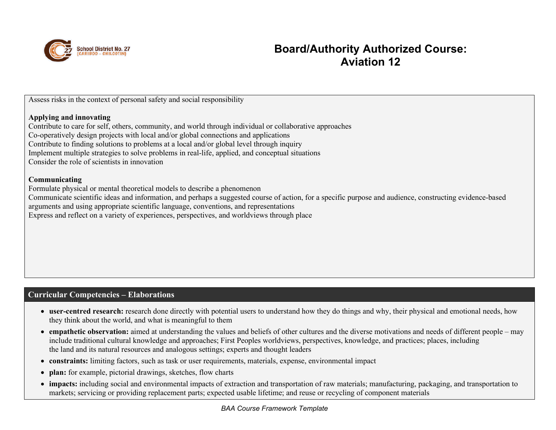

Assess risks in the context of personal safety and social responsibility

#### **Applying and innovating**

Contribute to care for self, others, community, and world through individual or collaborative approaches Co-operatively design projects with local and/or global connections and applications Contribute to finding solutions to problems at a local and/or global level through inquiry Implement multiple strategies to solve problems in real-life, applied, and conceptual situations Consider the role of scientists in innovation

#### **Communicating**

Formulate physical or mental theoretical models to describe a phenomenon

Communicate scientific ideas and information, and perhaps a suggested course of action, for a specific purpose and audience, constructing evidence-based

arguments and using appropriate scientific language, conventions, and representations

Express and reflect on a variety of experiences, perspectives, and worldviews through place

### **Curricular Competencies – Elaborations**

- **user-centred research:** research done directly with potential users to understand how they do things and why, their physical and emotional needs, how they think about the world, and what is meaningful to them
- **empathetic observation:** aimed at understanding the values and beliefs of other cultures and the diverse motivations and needs of different people may include traditional cultural knowledge and approaches; First Peoples worldviews, perspectives, knowledge, and practices; places, including the land and its natural resources and analogous settings; experts and thought leaders
- **constraints:** limiting factors, such as task or user requirements, materials, expense, environmental impact
- **plan:** for example, pictorial drawings, sketches, flow charts
- **impacts:** including social and environmental impacts of extraction and transportation of raw materials; manufacturing, packaging, and transportation to markets; servicing or providing replacement parts; expected usable lifetime; and reuse or recycling of component materials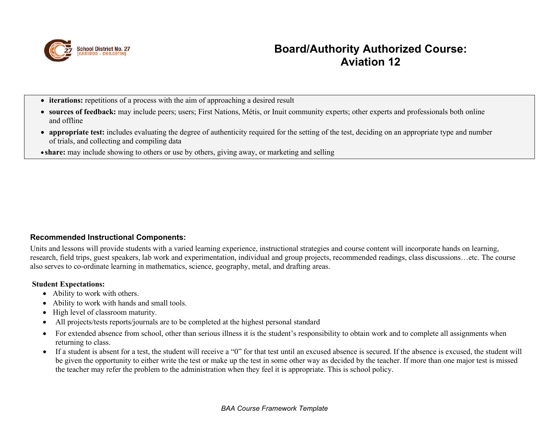

- **iterations:** repetitions of a process with the aim of approaching a desired result
- **sources of feedback:** may include peers; users; First Nations, Métis, or Inuit community experts; other experts and professionals both online and offline
- **appropriate test:** includes evaluating the degree of authenticity required for the setting of the test, deciding on an appropriate type and number of trials, and collecting and compiling data
- **share:** may include showing to others or use by others, giving away, or marketing and selling

### **Recommended Instructional Components:**

Units and lessons will provide students with a varied learning experience, instructional strategies and course content will incorporate hands on learning, research, field trips, guest speakers, lab work and experimentation, individual and group projects, recommended readings, class discussions…etc. The course also serves to co-ordinate learning in mathematics, science, geography, metal, and drafting areas.

#### **Student Expectations:**

- Ability to work with others.
- Ability to work with hands and small tools.
- High level of classroom maturity.
- All projects/tests reports/journals are to be completed at the highest personal standard
- For extended absence from school, other than serious illness it is the student's responsibility to obtain work and to complete all assignments when returning to class.
- If a student is absent for a test, the student will receive a "0" for that test until an excused absence is secured. If the absence is excused, the student will be given the opportunity to either write the test or make up the test in some other way as decided by the teacher. If more than one major test is missed the teacher may refer the problem to the administration when they feel it is appropriate. This is school policy.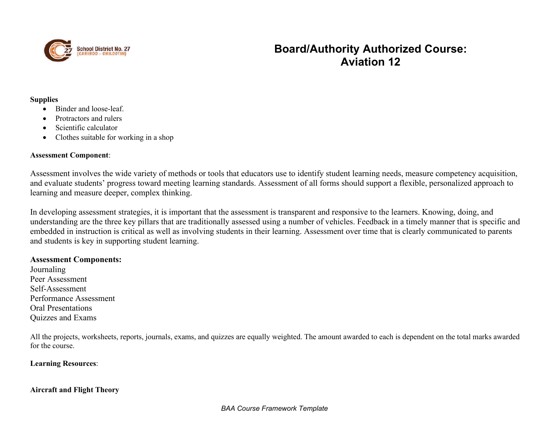

#### **Supplies**

- Binder and loose-leaf.
- Protractors and rulers
- Scientific calculator
- Clothes suitable for working in a shop

#### **Assessment Component**:

Assessment involves the wide variety of methods or tools that educators use to identify student learning needs, measure competency acquisition, and evaluate students' progress toward meeting learning standards. Assessment of all forms should support a flexible, personalized approach to learning and measure deeper, complex thinking.

In developing assessment strategies, it is important that the assessment is transparent and responsive to the learners. Knowing, doing, and understanding are the three key pillars that are traditionally assessed using a number of vehicles. Feedback in a timely manner that is specific and embedded in instruction is critical as well as involving students in their learning. Assessment over time that is clearly communicated to parents and students is key in supporting student learning.

#### **Assessment Components:**

Journaling Peer Assessment Self-Assessment Performance Assessment Oral Presentations Quizzes and Exams

All the projects, worksheets, reports, journals, exams, and quizzes are equally weighted. The amount awarded to each is dependent on the total marks awarded for the course.

#### **Learning Resources**:

#### **Aircraft and Flight Theory**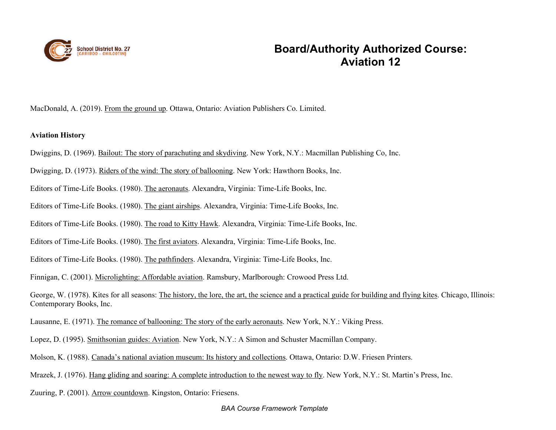

MacDonald, A. (2019). From the ground up. Ottawa, Ontario: Aviation Publishers Co. Limited.

#### **Aviation History**

- Dwiggins, D. (1969). Bailout: The story of parachuting and skydiving. New York, N.Y.: Macmillan Publishing Co, Inc.
- Dwigging, D. (1973). Riders of the wind: The story of ballooning. New York: Hawthorn Books, Inc.
- Editors of Time-Life Books. (1980). The aeronauts. Alexandra, Virginia: Time-Life Books, Inc.
- Editors of Time-Life Books. (1980). The giant airships. Alexandra, Virginia: Time-Life Books, Inc.
- Editors of Time-Life Books. (1980). The road to Kitty Hawk. Alexandra, Virginia: Time-Life Books, Inc.
- Editors of Time-Life Books. (1980). The first aviators. Alexandra, Virginia: Time-Life Books, Inc.
- Editors of Time-Life Books. (1980). The pathfinders. Alexandra, Virginia: Time-Life Books, Inc.
- Finnigan, C. (2001). Microlighting: Affordable aviation. Ramsbury, Marlborough: Crowood Press Ltd.

George, W. (1978). Kites for all seasons: The history, the lore, the art, the science and a practical guide for building and flying kites. Chicago, Illinois: Contemporary Books, Inc.

- Lausanne, E. (1971). The romance of ballooning: The story of the early aeronauts. New York, N.Y.: Viking Press.
- Lopez, D. (1995). Smithsonian guides: Aviation. New York, N.Y.: A Simon and Schuster Macmillan Company.
- Molson, K. (1988). Canada's national aviation museum: Its history and collections. Ottawa, Ontario: D.W. Friesen Printers.
- Mrazek, J. (1976). Hang gliding and soaring: A complete introduction to the newest way to fly. New York, N.Y.: St. Martin's Press, Inc.
- Zuuring, P. (2001). Arrow countdown. Kingston, Ontario: Friesens.

#### *BAA Course Framework Template*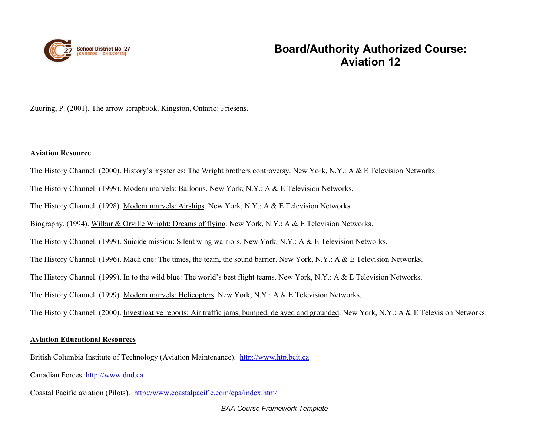

#### Zuuring, P. (2001). The arrow scrapbook. Kingston, Ontario: Friesens.

#### **Aviation Resource**

- The History Channel. (2000). History's mysteries: The Wright brothers controversy. New York, N.Y.: A & E Television Networks.
- The History Channel. (1999). Modern marvels: Balloons. New York, N.Y.: A & E Television Networks.
- The History Channel. (1998). Modern marvels: Airships. New York, N.Y.: A & E Television Networks.
- Biography. (1994). Wilbur & Orville Wright: Dreams of flying. New York, N.Y.: A & E Television Networks.
- The History Channel. (1999). Suicide mission: Silent wing warriors. New York, N.Y.: A & E Television Networks.
- The History Channel. (1996). Mach one: The times, the team, the sound barrier. New York, N.Y.: A & E Television Networks.
- The History Channel. (1999). In to the wild blue: The world's best flight teams. New York, N.Y.: A & E Television Networks.
- The History Channel. (1999). Modern marvels: Helicopters. New York, N.Y.: A & E Television Networks.
- The History Channel. (2000). Investigative reports: Air traffic jams, bumped, delayed and grounded. New York, N.Y.: A & E Television Networks.

#### **Aviation Educational Resources**

British Columbia Institute of Technology (Aviation Maintenance). [http://www.htp.bcit.ca](http://www.htp.bcit.ca/)

Canadian Forces. [http://www.dnd.ca](http://www.dnd.ca/)

Coastal Pacific aviation (Pilots). <http://www.coastalpacific.com/cpa/index.htm/>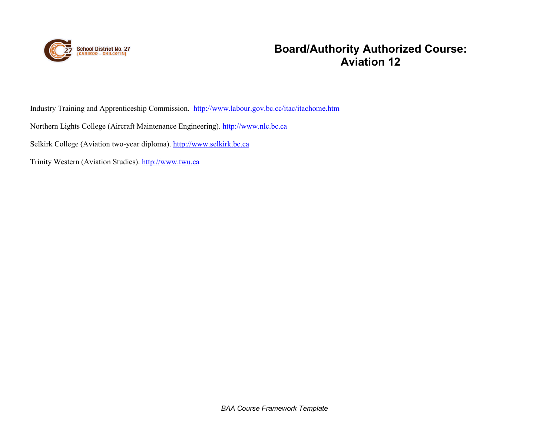

Industry Training and Apprenticeship Commission. <http://www.labour.gov.bc.cc/itac/itachome.htm>

Northern Lights College (Aircraft Maintenance Engineering). [http://www.nlc.bc.ca](http://www.nlc.bc.ca/)

Selkirk College (Aviation two-year diploma). [http://www.selkirk.bc.ca](http://www.selkirk.bc.ca/)

Trinity Western (Aviation Studies). [http://www.twu.ca](http://www.twu.ca/)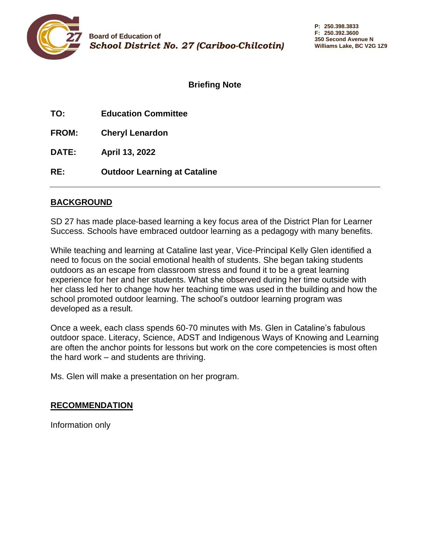<span id="page-27-0"></span>

**TO: Education Committee**

**FROM: Cheryl Lenardon**

**DATE: April 13, 2022**

**RE: Outdoor Learning at Cataline**

### **BACKGROUND**

SD 27 has made place-based learning a key focus area of the District Plan for Learner Success. Schools have embraced outdoor learning as a pedagogy with many benefits.

While teaching and learning at Cataline last year, Vice-Principal Kelly Glen identified a need to focus on the social emotional health of students. She began taking students outdoors as an escape from classroom stress and found it to be a great learning experience for her and her students. What she observed during her time outside with her class led her to change how her teaching time was used in the building and how the school promoted outdoor learning. The school's outdoor learning program was developed as a result.

Once a week, each class spends 60-70 minutes with Ms. Glen in Cataline's fabulous outdoor space. Literacy, Science, ADST and Indigenous Ways of Knowing and Learning are often the anchor points for lessons but work on the core competencies is most often the hard work – and students are thriving.

Ms. Glen will make a presentation on her program.

### **RECOMMENDATION**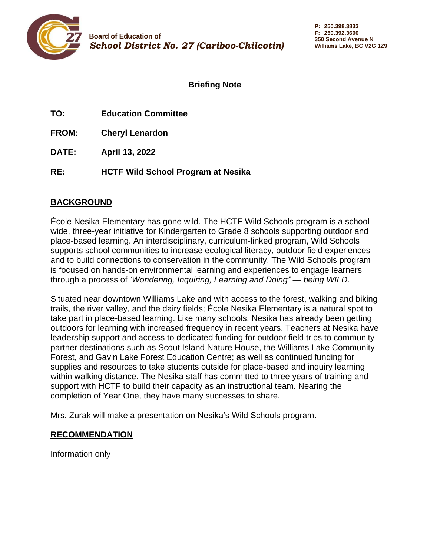<span id="page-28-0"></span>

| TO:   | <b>Education Committee</b> |
|-------|----------------------------|
| FROM: | <b>Cheryl Lenardon</b>     |

**DATE: April 13, 2022**

**RE: HCTF Wild School Program at Nesika**

### **BACKGROUND**

École Nesika Elementary has gone wild. The HCTF Wild Schools program is a schoolwide, three-year initiative for Kindergarten to Grade 8 schools supporting outdoor and place-based learning. An interdisciplinary, curriculum-linked program, Wild Schools supports school communities to increase ecological literacy, outdoor field experiences and to build connections to conservation in the community. The Wild Schools program is focused on hands-on environmental learning and experiences to engage learners through a process of *'Wondering, Inquiring, Learning and Doing" — being WILD.*

Situated near downtown Williams Lake and with access to the forest, walking and biking trails, the river valley, and the dairy fields; École Nesika Elementary is a natural spot to take part in place-based learning. Like many schools, Nesika has already been getting outdoors for learning with increased frequency in recent years. Teachers at Nesika have leadership support and access to dedicated funding for outdoor field trips to community partner destinations such as Scout Island Nature House, the Williams Lake Community Forest, and Gavin Lake Forest Education Centre; as well as continued funding for supplies and resources to take students outside for place-based and inquiry learning within walking distance. The Nesika staff has committed to three years of training and support with HCTF to build their capacity as an instructional team. Nearing the completion of Year One, they have many successes to share.

Mrs. Zurak will make a presentation on Nesika's Wild Schools program.

### **RECOMMENDATION**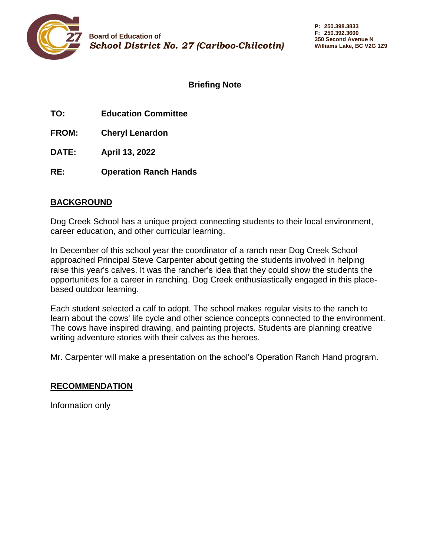<span id="page-29-0"></span>

**TO: Education Committee**

**FROM: Cheryl Lenardon**

**DATE: April 13, 2022**

**RE: Operation Ranch Hands**

### **BACKGROUND**

Dog Creek School has a unique project connecting students to their local environment, career education, and other curricular learning.

In December of this school year the coordinator of a ranch near Dog Creek School approached Principal Steve Carpenter about getting the students involved in helping raise this year's calves. It was the rancher's idea that they could show the students the opportunities for a career in ranching. Dog Creek enthusiastically engaged in this placebased outdoor learning.

Each student selected a calf to adopt. The school makes regular visits to the ranch to learn about the cows' life cycle and other science concepts connected to the environment. The cows have inspired drawing, and painting projects. Students are planning creative writing adventure stories with their calves as the heroes.

Mr. Carpenter will make a presentation on the school's Operation Ranch Hand program.

### **RECOMMENDATION**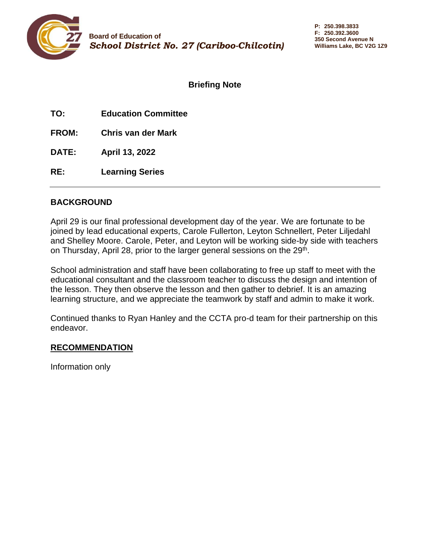<span id="page-30-0"></span>

| TO: | <b>Education Committee</b> |
|-----|----------------------------|
|     |                            |

**FROM: Chris van der Mark**

**DATE: April 13, 2022**

**RE: Learning Series**

### **BACKGROUND**

April 29 is our final professional development day of the year. We are fortunate to be joined by lead educational experts, Carole Fullerton, Leyton Schnellert, Peter Liljedahl and Shelley Moore. Carole, Peter, and Leyton will be working side-by side with teachers on Thursday, April 28, prior to the larger general sessions on the 29<sup>th</sup>.

School administration and staff have been collaborating to free up staff to meet with the educational consultant and the classroom teacher to discuss the design and intention of the lesson. They then observe the lesson and then gather to debrief. It is an amazing learning structure, and we appreciate the teamwork by staff and admin to make it work.

Continued thanks to Ryan Hanley and the CCTA pro-d team for their partnership on this endeavor.

### **RECOMMENDATION**